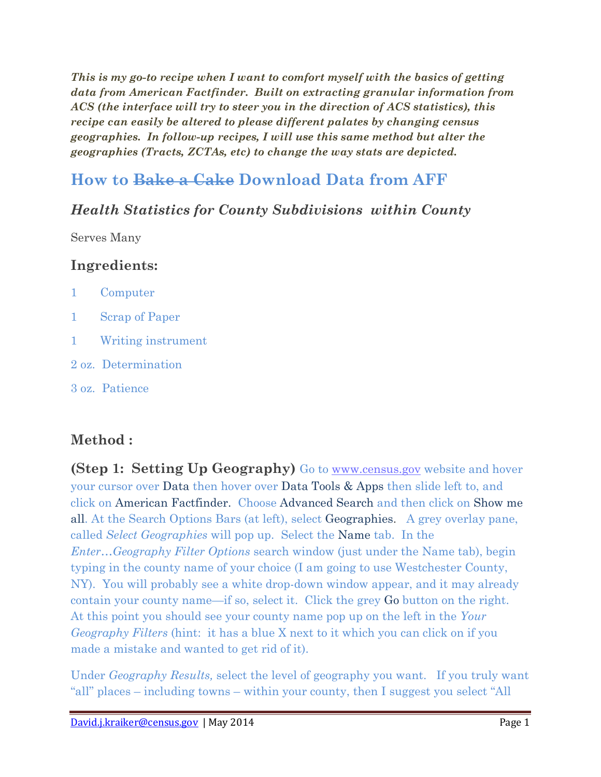*This is my go-to recipe when I want to comfort myself with the basics of getting data from American Factfinder. Built on extracting granular information from ACS (the interface will try to steer you in the direction of ACS statistics), this recipe can easily be altered to please different palates by changing census geographies. In follow-up recipes, I will use this same method but alter the geographies (Tracts, ZCTAs, etc) to change the way stats are depicted.*

# **How to Bake a Cake Download Data from AFF**

### *Health Statistics for County Subdivisions within County*

Serves Many

### **Ingredients:**

|  | Computer |
|--|----------|
|--|----------|

- 1 Scrap of Paper
- 1 Writing instrument
- 2 oz. Determination
- 3 oz. Patience

### **Method :**

**(Step 1: Setting Up Geography)** Go to [www.census.gov](http://www.census.gov/) website and hover your cursor over Data then hover over Data Tools & Apps then slide left to, and click on American Factfinder. Choose Advanced Search and then click on Show me all. At the Search Options Bars (at left), select Geographies. A grey overlay pane, called *Select Geographies* will pop up. Select the Name tab. In the *Enter…Geography Filter Options* search window (just under the Name tab), begin typing in the county name of your choice (I am going to use Westchester County, NY). You will probably see a white drop-down window appear, and it may already contain your county name—if so, select it. Click the grey Go button on the right. At this point you should see your county name pop up on the left in the *Your Geography Filters* (hint: it has a blue X next to it which you can click on if you made a mistake and wanted to get rid of it).

Under *Geography Results,* select the level of geography you want. If you truly want "all" places – including towns – within your county, then I suggest you select "All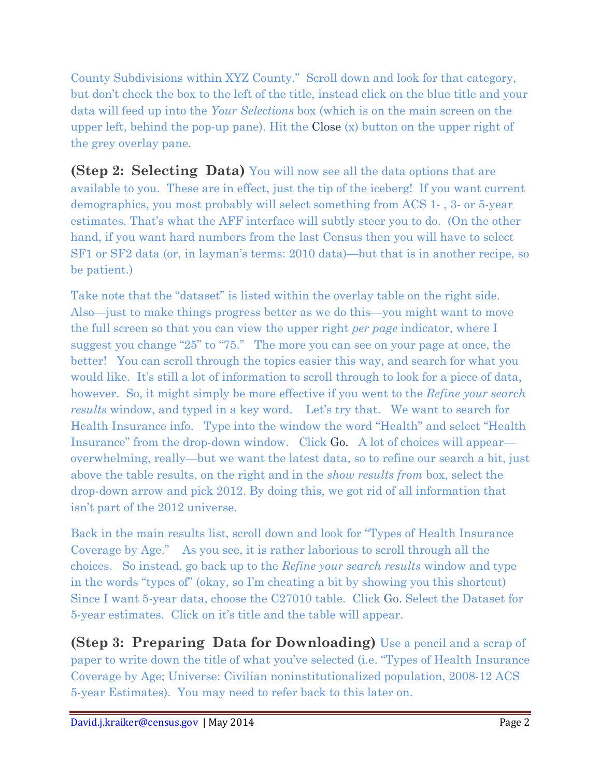County Subdivisions within XYZ County." Scroll down and look for that category, but don't check the box to the left of the title, instead click on the blue title and your data will feed up into the *Your Selections* box (which is on the main screen on the upper left, behind the pop-up pane). Hit the Close  $(x)$  button on the upper right of the grey overlay pane.

**(Step 2: Selecting Data)** You will now see all the data options that are available to you. These are in effect, just the tip of the iceberg! If you want current demographics, you most probably will select something from ACS 1- , 3- or 5-year estimates. That's what the AFF interface will subtly steer you to do. (On the other hand, if you want hard numbers from the last Census then you will have to select SF1 or SF2 data (or, in layman's terms: 2010 data)—but that is in another recipe, so be patient.)

Take note that the "dataset" is listed within the overlay table on the right side. Also—just to make things progress better as we do this—you might want to move the full screen so that you can view the upper right *per page* indicator, where I suggest you change "25" to "75." The more you can see on your page at once, the better! You can scroll through the topics easier this way, and search for what you would like. It's still a lot of information to scroll through to look for a piece of data, however. So, it might simply be more effective if you went to the *Refine your search results* window, and typed in a key word. Let's try that. We want to search for Health Insurance info. Type into the window the word "Health" and select "Health Insurance" from the drop-down window. Click Go. A lot of choices will appear overwhelming, really—but we want the latest data, so to refine our search a bit, just above the table results, on the right and in the *show results from* box, select the drop-down arrow and pick 2012. By doing this, we got rid of all information that isn't part of the 2012 universe.

Back in the main results list, scroll down and look for "Types of Health Insurance Coverage by Age." As you see, it is rather laborious to scroll through all the choices. So instead, go back up to the *Refine your search results* window and type in the words "types of" (okay, so I'm cheating a bit by showing you this shortcut) Since I want 5-year data, choose the C27010 table. Click Go. Select the Dataset for 5-year estimates. Click on it's title and the table will appear.

**(Step 3: Preparing Data for Downloading)** Use a pencil and a scrap of paper to write down the title of what you've selected (i.e. "Types of Health Insurance Coverage by Age; Universe: Civilian noninstitutionalized population, 2008-12 ACS 5-year Estimates). You may need to refer back to this later on.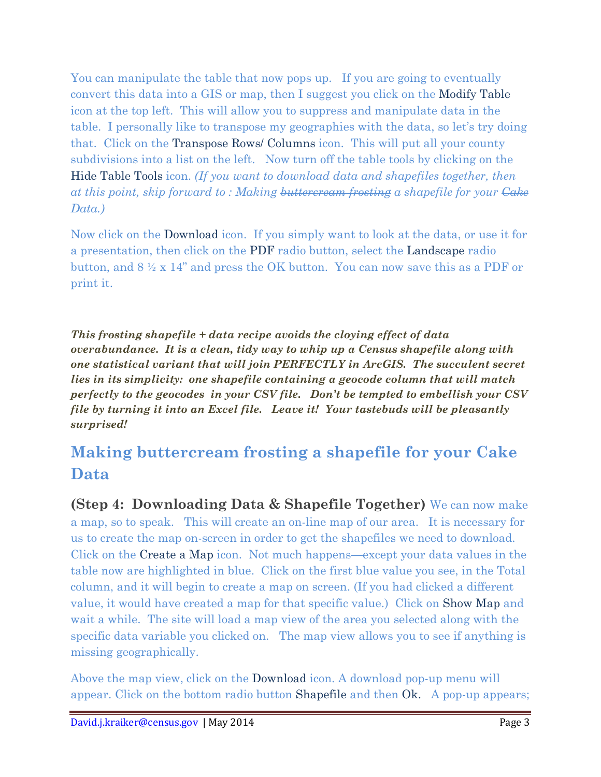You can manipulate the table that now pops up. If you are going to eventually convert this data into a GIS or map, then I suggest you click on the Modify Table icon at the top left. This will allow you to suppress and manipulate data in the table. I personally like to transpose my geographies with the data, so let's try doing that. Click on the Transpose Rows/ Columns icon. This will put all your county subdivisions into a list on the left. Now turn off the table tools by clicking on the Hide Table Tools icon. *(If you want to download data and shapefiles together, then at this point, skip forward to : Making buttercream frosting a shapefile for your Cake Data.)*

Now click on the Download icon. If you simply want to look at the data, or use it for a presentation, then click on the PDF radio button, select the Landscape radio button, and 8 ½ x 14" and press the OK button. You can now save this as a PDF or print it.

*This frosting shapefile + data recipe avoids the cloying effect of data overabundance. It is a clean, tidy way to whip up a Census shapefile along with one statistical variant that will join PERFECTLY in ArcGIS. The succulent secret lies in its simplicity: one shapefile containing a geocode column that will match perfectly to the geocodes in your CSV file. Don't be tempted to embellish your CSV file by turning it into an Excel file. Leave it! Your tastebuds will be pleasantly surprised!*

# **Making buttercream frosting a shapefile for your Cake Data**

**(Step 4: Downloading Data & Shapefile Together)** We can now make a map, so to speak. This will create an on-line map of our area. It is necessary for us to create the map on-screen in order to get the shapefiles we need to download. Click on the Create a Map icon. Not much happens—except your data values in the table now are highlighted in blue. Click on the first blue value you see, in the Total column, and it will begin to create a map on screen. (If you had clicked a different value, it would have created a map for that specific value.) Click on Show Map and wait a while. The site will load a map view of the area you selected along with the specific data variable you clicked on. The map view allows you to see if anything is missing geographically.

Above the map view, click on the Download icon. A download pop-up menu will appear. Click on the bottom radio button Shapefile and then Ok. A pop-up appears;